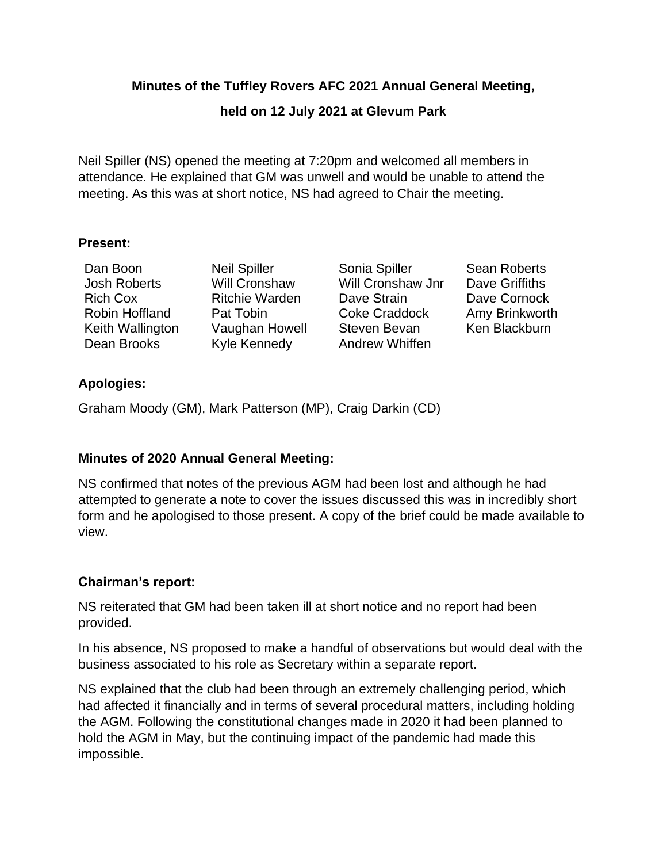### **Minutes of the Tuffley Rovers AFC 2021 Annual General Meeting,**

## **held on 12 July 2021 at Glevum Park**

Neil Spiller (NS) opened the meeting at 7:20pm and welcomed all members in attendance. He explained that GM was unwell and would be unable to attend the meeting. As this was at short notice, NS had agreed to Chair the meeting.

#### **Present:**

| Dan Boon            |
|---------------------|
| <b>Josh Roberts</b> |
| Rich Cox            |
| Robin Hoffland      |
| Keith Wallington    |
| Dean Brooks         |

Kyle Kennedy **Andrew Whiffen** 

Neil Spiller Sonia Spiller Sean Roberts Will Cronshaw Will Cronshaw Jnr Dave Griffiths Ritchie Warden Dave Strain Dave Cornock Pat Tobin **Coke Craddock** Amy Brinkworth Vaughan Howell Steven Bevan Ken Blackburn

## **Apologies:**

Graham Moody (GM), Mark Patterson (MP), Craig Darkin (CD)

# **Minutes of 2020 Annual General Meeting:**

NS confirmed that notes of the previous AGM had been lost and although he had attempted to generate a note to cover the issues discussed this was in incredibly short form and he apologised to those present. A copy of the brief could be made available to view.

# **Chairman's report:**

NS reiterated that GM had been taken ill at short notice and no report had been provided.

In his absence, NS proposed to make a handful of observations but would deal with the business associated to his role as Secretary within a separate report.

NS explained that the club had been through an extremely challenging period, which had affected it financially and in terms of several procedural matters, including holding the AGM. Following the constitutional changes made in 2020 it had been planned to hold the AGM in May, but the continuing impact of the pandemic had made this impossible.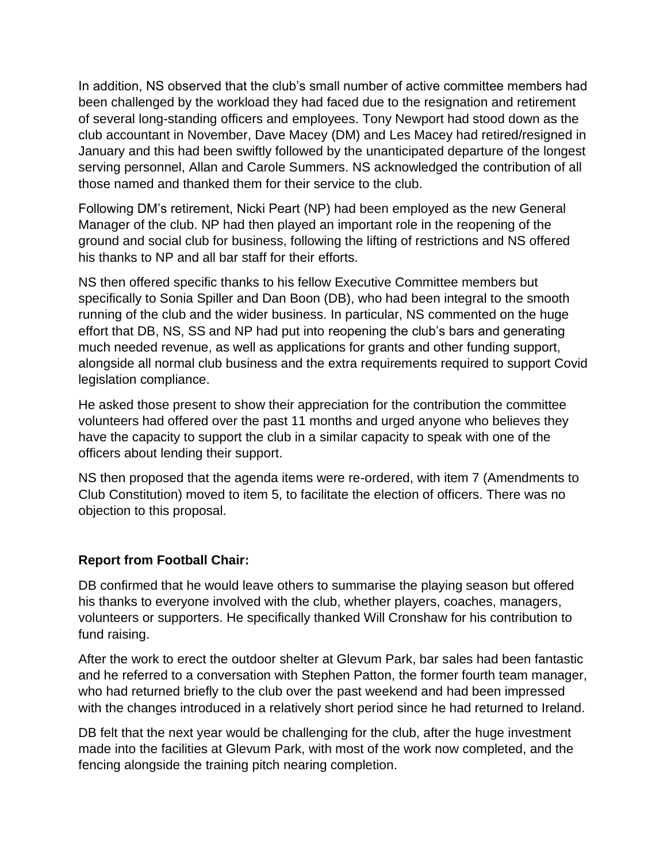In addition, NS observed that the club's small number of active committee members had been challenged by the workload they had faced due to the resignation and retirement of several long-standing officers and employees. Tony Newport had stood down as the club accountant in November, Dave Macey (DM) and Les Macey had retired/resigned in January and this had been swiftly followed by the unanticipated departure of the longest serving personnel, Allan and Carole Summers. NS acknowledged the contribution of all those named and thanked them for their service to the club.

Following DM's retirement, Nicki Peart (NP) had been employed as the new General Manager of the club. NP had then played an important role in the reopening of the ground and social club for business, following the lifting of restrictions and NS offered his thanks to NP and all bar staff for their efforts.

NS then offered specific thanks to his fellow Executive Committee members but specifically to Sonia Spiller and Dan Boon (DB), who had been integral to the smooth running of the club and the wider business. In particular, NS commented on the huge effort that DB, NS, SS and NP had put into reopening the club's bars and generating much needed revenue, as well as applications for grants and other funding support, alongside all normal club business and the extra requirements required to support Covid legislation compliance.

He asked those present to show their appreciation for the contribution the committee volunteers had offered over the past 11 months and urged anyone who believes they have the capacity to support the club in a similar capacity to speak with one of the officers about lending their support.

NS then proposed that the agenda items were re-ordered, with item 7 (Amendments to Club Constitution) moved to item 5, to facilitate the election of officers. There was no objection to this proposal.

### **Report from Football Chair:**

DB confirmed that he would leave others to summarise the playing season but offered his thanks to everyone involved with the club, whether players, coaches, managers, volunteers or supporters. He specifically thanked Will Cronshaw for his contribution to fund raising.

After the work to erect the outdoor shelter at Glevum Park, bar sales had been fantastic and he referred to a conversation with Stephen Patton, the former fourth team manager, who had returned briefly to the club over the past weekend and had been impressed with the changes introduced in a relatively short period since he had returned to Ireland.

DB felt that the next year would be challenging for the club, after the huge investment made into the facilities at Glevum Park, with most of the work now completed, and the fencing alongside the training pitch nearing completion.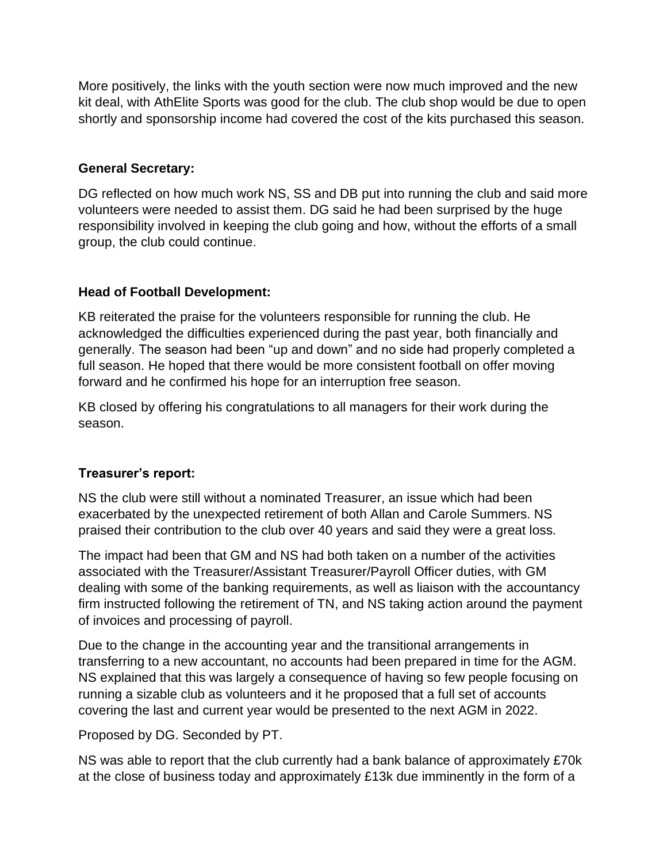More positively, the links with the youth section were now much improved and the new kit deal, with AthElite Sports was good for the club. The club shop would be due to open shortly and sponsorship income had covered the cost of the kits purchased this season.

#### **General Secretary:**

DG reflected on how much work NS, SS and DB put into running the club and said more volunteers were needed to assist them. DG said he had been surprised by the huge responsibility involved in keeping the club going and how, without the efforts of a small group, the club could continue.

### **Head of Football Development:**

KB reiterated the praise for the volunteers responsible for running the club. He acknowledged the difficulties experienced during the past year, both financially and generally. The season had been "up and down" and no side had properly completed a full season. He hoped that there would be more consistent football on offer moving forward and he confirmed his hope for an interruption free season.

KB closed by offering his congratulations to all managers for their work during the season.

### **Treasurer's report:**

NS the club were still without a nominated Treasurer, an issue which had been exacerbated by the unexpected retirement of both Allan and Carole Summers. NS praised their contribution to the club over 40 years and said they were a great loss.

The impact had been that GM and NS had both taken on a number of the activities associated with the Treasurer/Assistant Treasurer/Payroll Officer duties, with GM dealing with some of the banking requirements, as well as liaison with the accountancy firm instructed following the retirement of TN, and NS taking action around the payment of invoices and processing of payroll.

Due to the change in the accounting year and the transitional arrangements in transferring to a new accountant, no accounts had been prepared in time for the AGM. NS explained that this was largely a consequence of having so few people focusing on running a sizable club as volunteers and it he proposed that a full set of accounts covering the last and current year would be presented to the next AGM in 2022.

Proposed by DG. Seconded by PT.

NS was able to report that the club currently had a bank balance of approximately £70k at the close of business today and approximately £13k due imminently in the form of a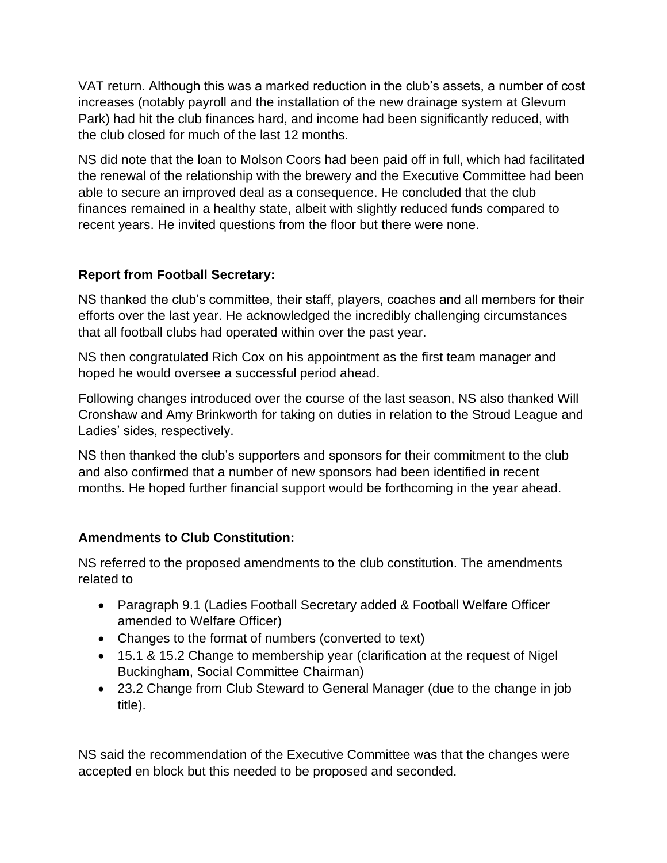VAT return. Although this was a marked reduction in the club's assets, a number of cost increases (notably payroll and the installation of the new drainage system at Glevum Park) had hit the club finances hard, and income had been significantly reduced, with the club closed for much of the last 12 months.

NS did note that the loan to Molson Coors had been paid off in full, which had facilitated the renewal of the relationship with the brewery and the Executive Committee had been able to secure an improved deal as a consequence. He concluded that the club finances remained in a healthy state, albeit with slightly reduced funds compared to recent years. He invited questions from the floor but there were none.

### **Report from Football Secretary:**

NS thanked the club's committee, their staff, players, coaches and all members for their efforts over the last year. He acknowledged the incredibly challenging circumstances that all football clubs had operated within over the past year.

NS then congratulated Rich Cox on his appointment as the first team manager and hoped he would oversee a successful period ahead.

Following changes introduced over the course of the last season, NS also thanked Will Cronshaw and Amy Brinkworth for taking on duties in relation to the Stroud League and Ladies' sides, respectively.

NS then thanked the club's supporters and sponsors for their commitment to the club and also confirmed that a number of new sponsors had been identified in recent months. He hoped further financial support would be forthcoming in the year ahead.

# **Amendments to Club Constitution:**

NS referred to the proposed amendments to the club constitution. The amendments related to

- Paragraph 9.1 (Ladies Football Secretary added & Football Welfare Officer amended to Welfare Officer)
- Changes to the format of numbers (converted to text)
- 15.1 & 15.2 Change to membership year (clarification at the request of Nigel Buckingham, Social Committee Chairman)
- 23.2 Change from Club Steward to General Manager (due to the change in job title).

NS said the recommendation of the Executive Committee was that the changes were accepted en block but this needed to be proposed and seconded.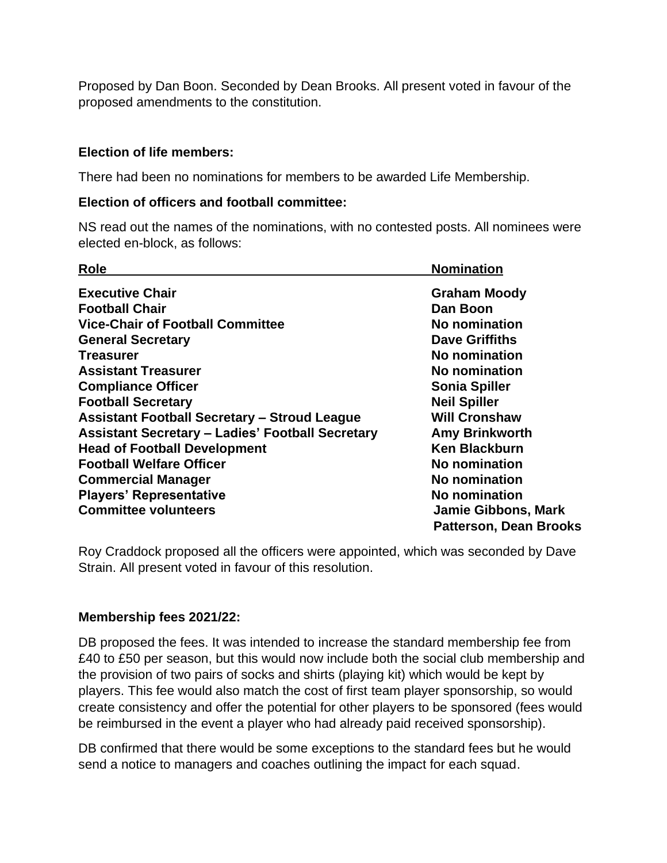Proposed by Dan Boon. Seconded by Dean Brooks. All present voted in favour of the proposed amendments to the constitution.

### **Election of life members:**

There had been no nominations for members to be awarded Life Membership.

#### **Election of officers and football committee:**

NS read out the names of the nominations, with no contested posts. All nominees were elected en-block, as follows:

| <b>Role</b>                                             | <b>Nomination</b>             |
|---------------------------------------------------------|-------------------------------|
| <b>Executive Chair</b>                                  | <b>Graham Moody</b>           |
| <b>Football Chair</b>                                   | Dan Boon                      |
| <b>Vice-Chair of Football Committee</b>                 | No nomination                 |
| <b>General Secretary</b>                                | <b>Dave Griffiths</b>         |
| <b>Treasurer</b>                                        | No nomination                 |
| <b>Assistant Treasurer</b>                              | No nomination                 |
| <b>Compliance Officer</b>                               | <b>Sonia Spiller</b>          |
| <b>Football Secretary</b>                               | <b>Neil Spiller</b>           |
| <b>Assistant Football Secretary - Stroud League</b>     | <b>Will Cronshaw</b>          |
| <b>Assistant Secretary - Ladies' Football Secretary</b> | <b>Amy Brinkworth</b>         |
| <b>Head of Football Development</b>                     | <b>Ken Blackburn</b>          |
| <b>Football Welfare Officer</b>                         | No nomination                 |
| <b>Commercial Manager</b>                               | No nomination                 |
| <b>Players' Representative</b>                          | No nomination                 |
| <b>Committee volunteers</b>                             | <b>Jamie Gibbons, Mark</b>    |
|                                                         | <b>Patterson, Dean Brooks</b> |

Roy Craddock proposed all the officers were appointed, which was seconded by Dave Strain. All present voted in favour of this resolution.

#### **Membership fees 2021/22:**

DB proposed the fees. It was intended to increase the standard membership fee from £40 to £50 per season, but this would now include both the social club membership and the provision of two pairs of socks and shirts (playing kit) which would be kept by players. This fee would also match the cost of first team player sponsorship, so would create consistency and offer the potential for other players to be sponsored (fees would be reimbursed in the event a player who had already paid received sponsorship).

DB confirmed that there would be some exceptions to the standard fees but he would send a notice to managers and coaches outlining the impact for each squad.